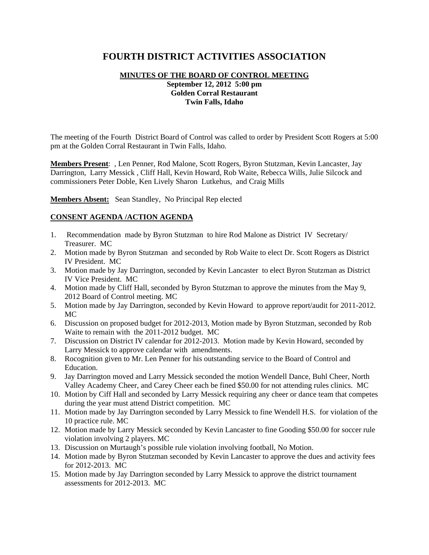# **FOURTH DISTRICT ACTIVITIES ASSOCIATION**

## **MINUTES OF THE BOARD OF CONTROL MEETING September 12, 2012 5:00 pm Golden Corral Restaurant Twin Falls, Idaho**

The meeting of the Fourth District Board of Control was called to order by President Scott Rogers at 5:00 pm at the Golden Corral Restaurant in Twin Falls, Idaho.

**Members Present**: , Len Penner, Rod Malone, Scott Rogers, Byron Stutzman, Kevin Lancaster, Jay Darrington, Larry Messick , Cliff Hall, Kevin Howard, Rob Waite, Rebecca Wills, Julie Silcock and commissioners Peter Doble, Ken Lively Sharon Lutkehus, and Craig Mills

**Members Absent:** Sean Standley, No Principal Rep elected

### **CONSENT AGENDA /ACTION AGENDA**

- 1. Recommendation made by Byron Stutzman to hire Rod Malone as District IV Secretary/ Treasurer. MC
- 2. Motion made by Byron Stutzman and seconded by Rob Waite to elect Dr. Scott Rogers as District IV President. MC
- 3. Motion made by Jay Darrington, seconded by Kevin Lancaster to elect Byron Stutzman as District IV Vice President. MC
- 4. Motion made by Cliff Hall, seconded by Byron Stutzman to approve the minutes from the May 9, 2012 Board of Control meeting. MC
- 5. Motion made by Jay Darrington, seconded by Kevin Howard to approve report/audit for 2011-2012. MC
- 6. Discussion on proposed budget for 2012-2013, Motion made by Byron Stutzman, seconded by Rob Waite to remain with the 2011-2012 budget. MC
- 7. Discussion on District IV calendar for 2012-2013. Motion made by Kevin Howard, seconded by Larry Messick to approve calendar with amendments.
- 8. Rocognition given to Mr. Len Penner for his outstanding service to the Board of Control and Education.
- 9. Jay Darrington moved and Larry Messick seconded the motion Wendell Dance, Buhl Cheer, North Valley Academy Cheer, and Carey Cheer each be fined \$50.00 for not attending rules clinics. MC
- 10. Motion by Ciff Hall and seconded by Larry Messick requiring any cheer or dance team that competes during the year must attend District competition. MC
- 11. Motion made by Jay Darrington seconded by Larry Messick to fine Wendell H.S. for violation of the 10 practice rule. MC
- 12. Motion made by Larry Messick seconded by Kevin Lancaster to fine Gooding \$50.00 for soccer rule violation involving 2 players. MC
- 13. Discussion on Murtaugh's possible rule violation involving football, No Motion.
- 14. Motion made by Byron Stutzman seconded by Kevin Lancaster to approve the dues and activity fees for 2012-2013. MC
- 15. Motion made by Jay Darrington seconded by Larry Messick to approve the district tournament assessments for 2012-2013. MC